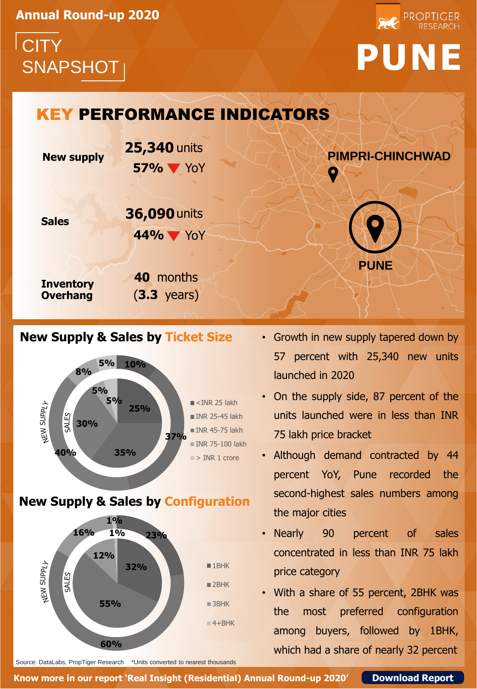**Annual Round-up 2020**

# **CITY** SNAPSHOT **PUNE**





## **New Supply & Sales by Ticket Size**



## **New Supply & Sales by Configuration**



- Growth in new supply tapered down by 57 percent with 25,340 new units launched in 2020
- On the supply side, 87 percent of the units launched were in less than INR 75 lakh price bracket
- Although demand contracted by 44 percent YoY, Pune recorded the second-highest sales numbers among the major cities
- Nearly 90 percent of sales concentrated in less than INR 75 lakh price category
- With a share of 55 percent, 2BHK was the most preferred configuration among buyers, followed by 1BHK, which had a share of nearly 32 percent

Source: DataLabs, PropTiger Research \*Units converted to nearest thousands